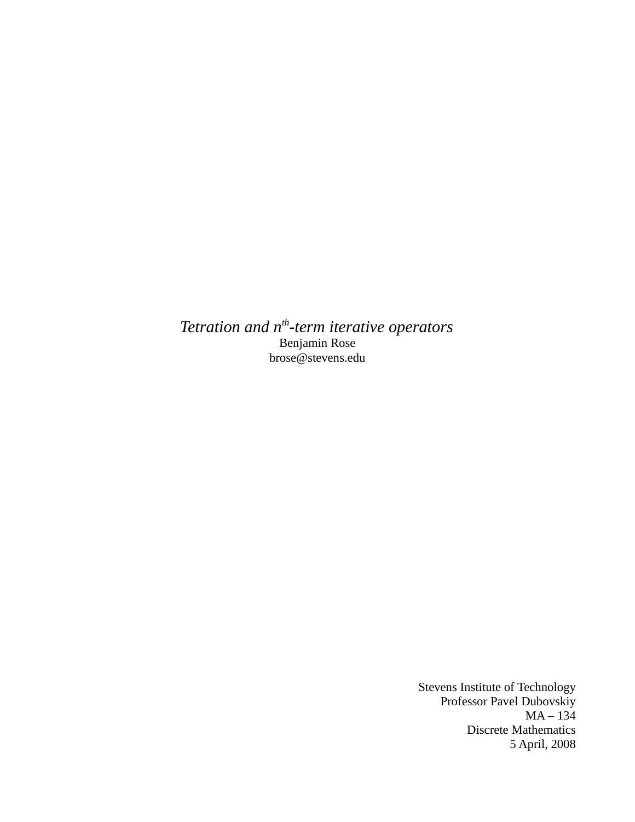*Tetration and nth-term iterative operators* Benjamin Rose brose@stevens.edu

> Stevens Institute of Technology Professor Pavel Dubovskiy  $MA - 134$ Discrete Mathematics 5 April, 2008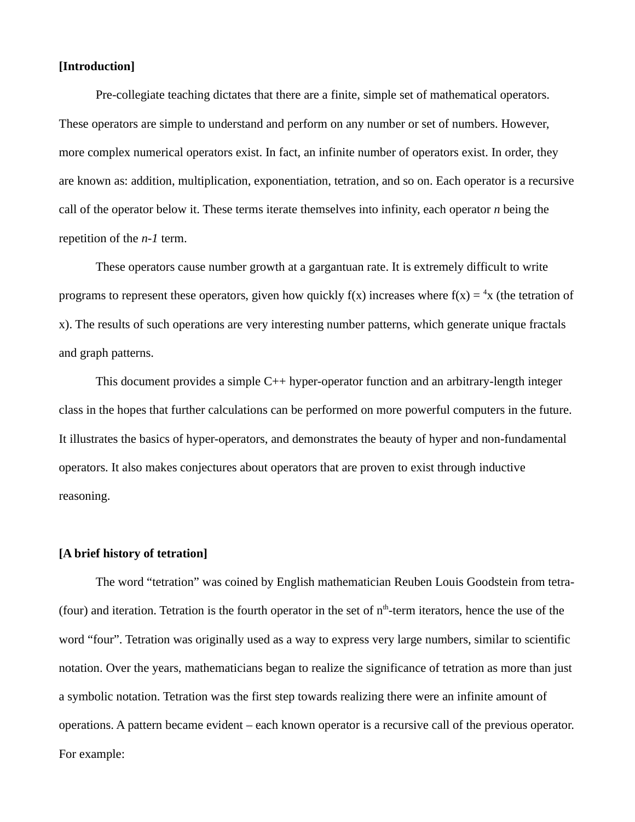### **[Introduction]**

Pre-collegiate teaching dictates that there are a finite, simple set of mathematical operators. These operators are simple to understand and perform on any number or set of numbers. However, more complex numerical operators exist. In fact, an infinite number of operators exist. In order, they are known as: addition, multiplication, exponentiation, tetration, and so on. Each operator is a recursive call of the operator below it. These terms iterate themselves into infinity, each operator *n* being the repetition of the *n-1* term.

These operators cause number growth at a gargantuan rate. It is extremely difficult to write programs to represent these operators, given how quickly f(x) increases where f(x) =  $4x$  (the tetration of x). The results of such operations are very interesting number patterns, which generate unique fractals and graph patterns.

This document provides a simple C++ hyper-operator function and an arbitrary-length integer class in the hopes that further calculations can be performed on more powerful computers in the future. It illustrates the basics of hyper-operators, and demonstrates the beauty of hyper and non-fundamental operators. It also makes conjectures about operators that are proven to exist through inductive reasoning.

### **[A brief history of tetration]**

The word "tetration" was coined by English mathematician Reuben Louis Goodstein from tetra- (four) and iteration. Tetration is the fourth operator in the set of  $n<sup>th</sup>$ -term iterators, hence the use of the word "four". Tetration was originally used as a way to express very large numbers, similar to scientific notation. Over the years, mathematicians began to realize the significance of tetration as more than just a symbolic notation. Tetration was the first step towards realizing there were an infinite amount of operations. A pattern became evident – each known operator is a recursive call of the previous operator. For example: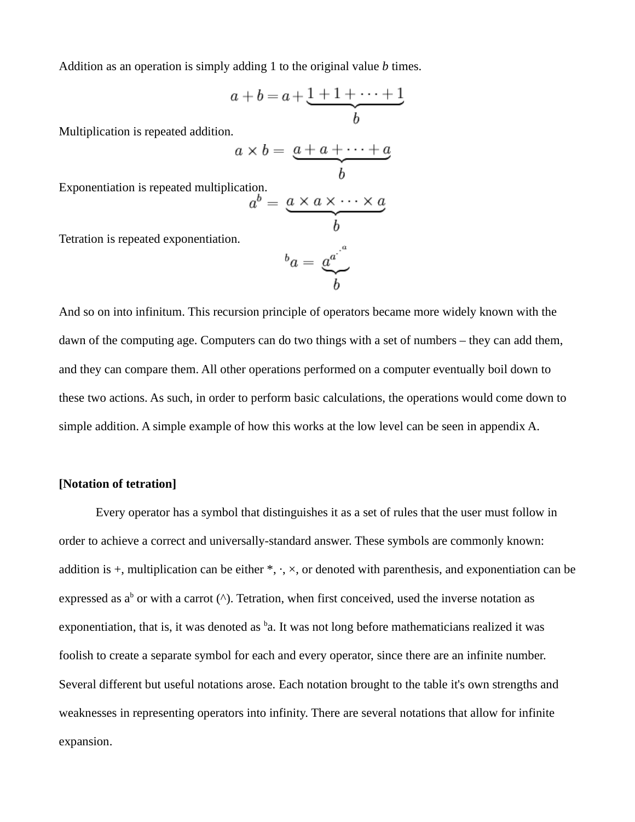Addition as an operation is simply adding 1 to the original value *b* times.

$$
a+b=a+\underbrace{1+1+\cdots+1}_{b}
$$

Multiplication is repeated addition.

$$
a \times b = \underbrace{a + a + \cdots + a}_{b}
$$

Exponentiation is repeated multiplication.

$$
a^b = \underbrace{a \times a \times \cdots \times a}_{b}
$$

Tetration is repeated exponentiation.

$$
{}^b a = \underbrace{a^{a^b}}_b
$$

And so on into infinitum. This recursion principle of operators became more widely known with the dawn of the computing age. Computers can do two things with a set of numbers – they can add them, and they can compare them. All other operations performed on a computer eventually boil down to these two actions. As such, in order to perform basic calculations, the operations would come down to simple addition. A simple example of how this works at the low level can be seen in appendix A.

# **[Notation of tetration]**

Every operator has a symbol that distinguishes it as a set of rules that the user must follow in order to achieve a correct and universally-standard answer. These symbols are commonly known: addition is  $+$ , multiplication can be either  $*, \cdot, \times$ , or denoted with parenthesis, and exponentiation can be expressed as a<sup>b</sup> or with a carrot (^). Tetration, when first conceived, used the inverse notation as exponentiation, that is, it was denoted as <sup>b</sup>a. It was not long before mathematicians realized it was foolish to create a separate symbol for each and every operator, since there are an infinite number. Several different but useful notations arose. Each notation brought to the table it's own strengths and weaknesses in representing operators into infinity. There are several notations that allow for infinite expansion.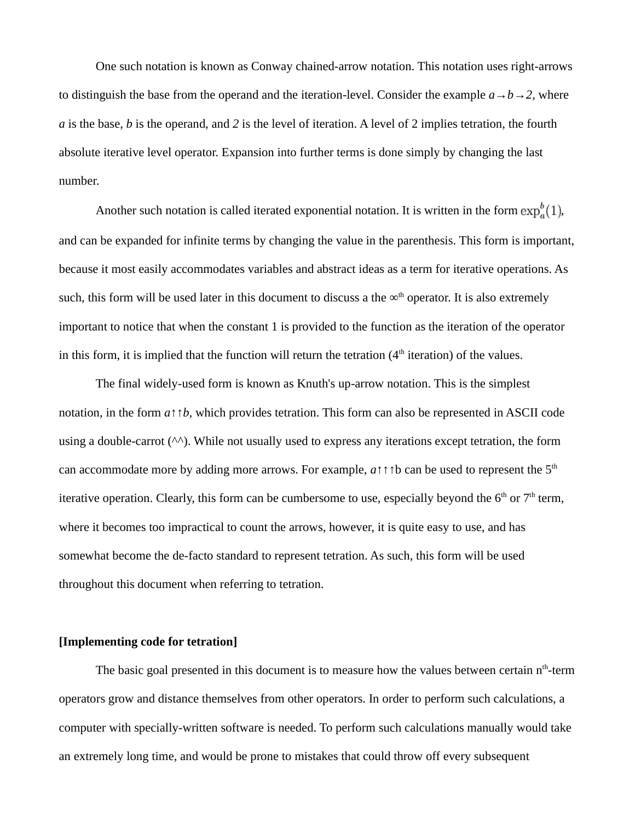One such notation is known as Conway chained-arrow notation. This notation uses right-arrows to distinguish the base from the operand and the iteration-level. Consider the example  $a \rightarrow b \rightarrow 2$ , where *a* is the base, *b* is the operand, and *2* is the level of iteration. A level of 2 implies tetration, the fourth absolute iterative level operator. Expansion into further terms is done simply by changing the last number.

Another such notation is called iterated exponential notation. It is written in the form  $\exp_a^b(1)$ , and can be expanded for infinite terms by changing the value in the parenthesis. This form is important, because it most easily accommodates variables and abstract ideas as a term for iterative operations. As such, this form will be used later in this document to discuss a the  $\infty^{\text{th}}$  operator. It is also extremely important to notice that when the constant 1 is provided to the function as the iteration of the operator in this form, it is implied that the function will return the tetration  $(4<sup>th</sup>$  iteration) of the values.

The final widely-used form is known as Knuth's up-arrow notation. This is the simplest notation, in the form *a*↑↑*b*, which provides tetration. This form can also be represented in ASCII code using a double-carrot  $(\wedge \wedge)$ . While not usually used to express any iterations except tetration, the form can accommodate more by adding more arrows. For example, *a*↑↑↑b can be used to represent the 5th iterative operation. Clearly, this form can be cumbersome to use, especially beyond the  $6<sup>th</sup>$  or  $7<sup>th</sup>$  term, where it becomes too impractical to count the arrows, however, it is quite easy to use, and has somewhat become the de-facto standard to represent tetration. As such, this form will be used throughout this document when referring to tetration.

# **[Implementing code for tetration]**

The basic goal presented in this document is to measure how the values between certain  $n<sup>th</sup>$ -term operators grow and distance themselves from other operators. In order to perform such calculations, a computer with specially-written software is needed. To perform such calculations manually would take an extremely long time, and would be prone to mistakes that could throw off every subsequent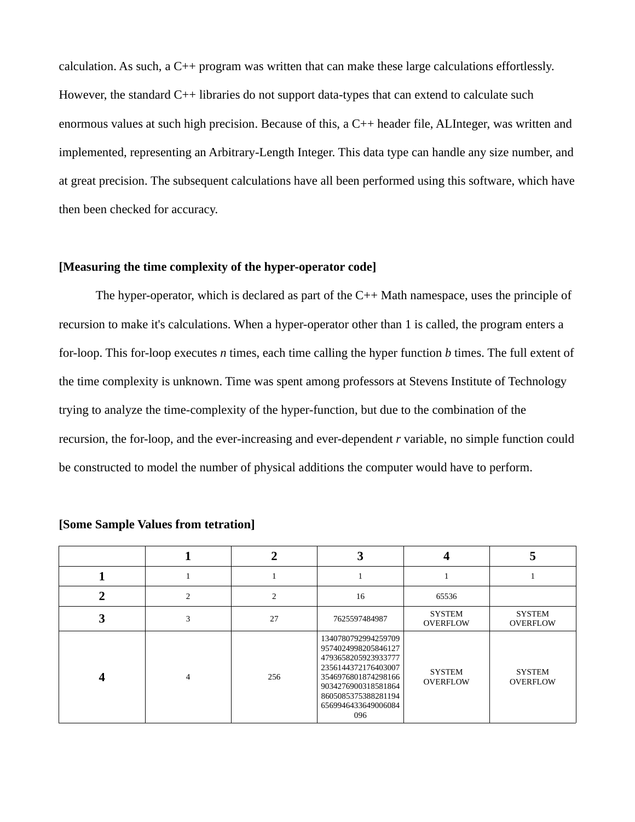calculation. As such, a  $C^{++}$  program was written that can make these large calculations effortlessly. However, the standard C++ libraries do not support data-types that can extend to calculate such enormous values at such high precision. Because of this, a C++ header file, ALInteger, was written and implemented, representing an Arbitrary-Length Integer. This data type can handle any size number, and at great precision. The subsequent calculations have all been performed using this software, which have then been checked for accuracy.

# **[Measuring the time complexity of the hyper-operator code]**

The hyper-operator, which is declared as part of the  $C_{++}$  Math namespace, uses the principle of recursion to make it's calculations. When a hyper-operator other than 1 is called, the program enters a for-loop. This for-loop executes *n* times, each time calling the hyper function *b* times. The full extent of the time complexity is unknown. Time was spent among professors at Stevens Institute of Technology trying to analyze the time-complexity of the hyper-function, but due to the combination of the recursion, the for-loop, and the ever-increasing and ever-dependent *r* variable, no simple function could be constructed to model the number of physical additions the computer would have to perform.

|   |   |     |                                                                                                                                                                                             |                                  | а                                |
|---|---|-----|---------------------------------------------------------------------------------------------------------------------------------------------------------------------------------------------|----------------------------------|----------------------------------|
|   |   |     |                                                                                                                                                                                             |                                  |                                  |
| ר | っ |     | 16                                                                                                                                                                                          | 65536                            |                                  |
| 3 |   | 27  | 7625597484987                                                                                                                                                                               | <b>SYSTEM</b><br>OVERFLOW        | <b>SYSTEM</b><br>OVERFLOW        |
|   |   | 256 | 1340780792994259709<br>9574024998205846127<br>4793658205923933777<br>2356144372176403007<br>3546976801874298166<br>9034276900318581864<br>8605085375388281194<br>6569946433649006084<br>096 | <b>SYSTEM</b><br><b>OVERFLOW</b> | <b>SYSTEM</b><br><b>OVERFLOW</b> |

#### **[Some Sample Values from tetration]**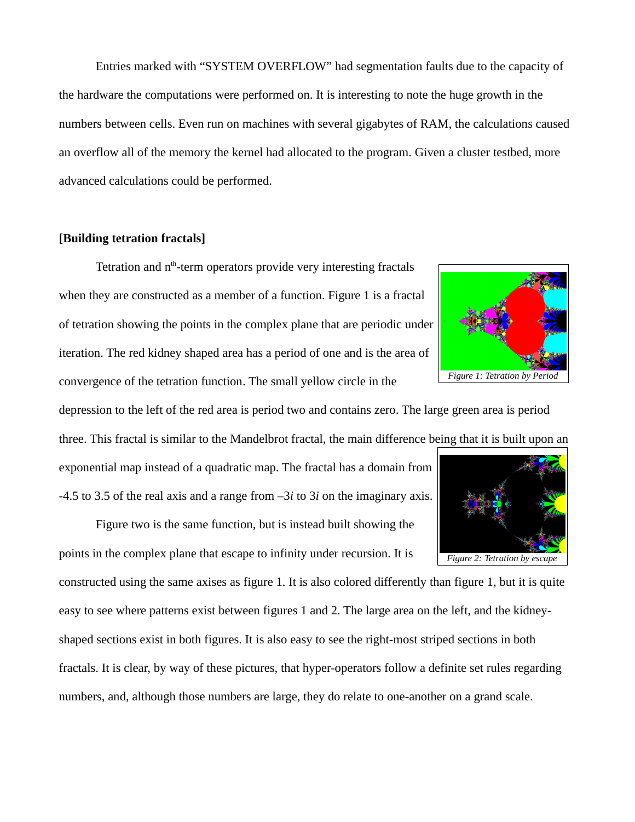Entries marked with "SYSTEM OVERFLOW" had segmentation faults due to the capacity of the hardware the computations were performed on. It is interesting to note the huge growth in the numbers between cells. Even run on machines with several gigabytes of RAM, the calculations caused an overflow all of the memory the kernel had allocated to the program. Given a cluster testbed, more advanced calculations could be performed.

# **[Building tetration fractals]**

Tetration and  $n<sup>th</sup>$ -term operators provide very interesting fractals when they are constructed as a member of a function. Figure 1 is a fractal of tetration showing the points in the complex plane that are periodic under iteration. The red kidney shaped area has a period of one and is the area of convergence of the tetration function. The small yellow circle in the



depression to the left of the red area is period two and contains zero. The large green area is period three. This fractal is similar to the Mandelbrot fractal, the main difference being that it is built upon an

exponential map instead of a quadratic map. The fractal has a domain from -4.5 to 3.5 of the real axis and a range from –3*i* to 3*i* on the imaginary axis.

Figure two is the same function, but is instead built showing the points in the complex plane that escape to infinity under recursion. It is

constructed using the same axises as figure 1. It is also colored differently than figure 1, but it is quite easy to see where patterns exist between figures 1 and 2. The large area on the left, and the kidneyshaped sections exist in both figures. It is also easy to see the right-most striped sections in both fractals. It is clear, by way of these pictures, that hyper-operators follow a definite set rules regarding numbers, and, although those numbers are large, they do relate to one-another on a grand scale.

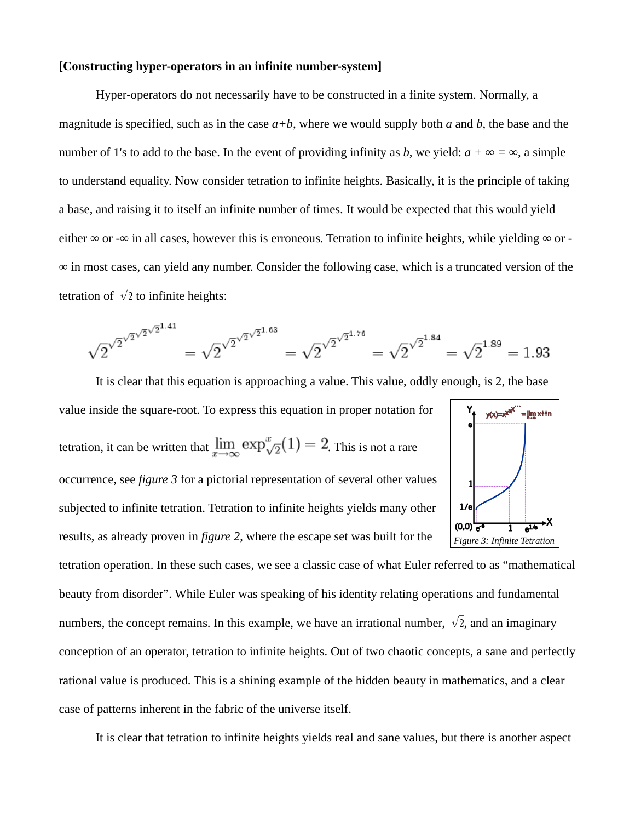# **[Constructing hyper-operators in an infinite number-system]**

Hyper-operators do not necessarily have to be constructed in a finite system. Normally, a magnitude is specified, such as in the case *a+b*, where we would supply both *a* and *b*, the base and the number of 1's to add to the base. In the event of providing infinity as *b*, we yield:  $a + \infty = \infty$ , a simple to understand equality. Now consider tetration to infinite heights. Basically, it is the principle of taking a base, and raising it to itself an infinite number of times. It would be expected that this would yield either  $\infty$  or - $\infty$  in all cases, however this is erroneous. Tetration to infinite heights, while yielding  $\infty$  or -∞ in most cases, can yield any number. Consider the following case, which is a truncated version of the tetration of  $\sqrt{2}$  to infinite heights:

$$
\sqrt{2}^{\sqrt{2}^{\sqrt{2}^{\sqrt{2}^{1.41}}}} = \sqrt{2}^{\sqrt{2}^{\sqrt{2}^{\sqrt{2}^{1.63}}}} = \sqrt{2}^{\sqrt{2}^{\sqrt{2}^{1.76}}} = \sqrt{2}^{\sqrt{2}^{1.84}} = \sqrt{2}^{1.89} = 1.93
$$

It is clear that this equation is approaching a value. This value, oddly enough, is 2, the base

value inside the square-root. To express this equation in proper notation for tetration, it can be written that  $\lim_{x\to\infty} \exp_{\sqrt{2}}^x(1) = 2$ . This is not a rare occurrence, see *figure 3* for a pictorial representation of several other values subjected to infinite tetration. Tetration to infinite heights yields many other results, as already proven in *figure 2*, where the escape set was built for the



tetration operation. In these such cases, we see a classic case of what Euler referred to as "mathematical beauty from disorder". While Euler was speaking of his identity relating operations and fundamental numbers, the concept remains. In this example, we have an irrational number,  $\sqrt{2}$ , and an imaginary conception of an operator, tetration to infinite heights. Out of two chaotic concepts, a sane and perfectly rational value is produced. This is a shining example of the hidden beauty in mathematics, and a clear case of patterns inherent in the fabric of the universe itself.

It is clear that tetration to infinite heights yields real and sane values, but there is another aspect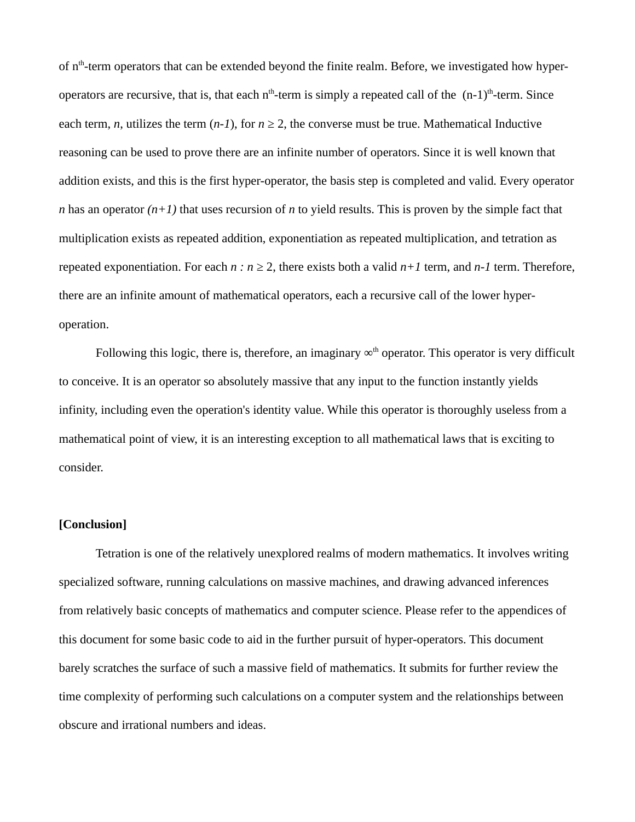of n<sup>th</sup>-term operators that can be extended beyond the finite realm. Before, we investigated how hyperoperators are recursive, that is, that each  $n<sup>th</sup>$ -term is simply a repeated call of the  $(n-1)<sup>th</sup>$ -term. Since each term, *n*, utilizes the term  $(n-1)$ , for  $n \geq 2$ , the converse must be true. Mathematical Inductive reasoning can be used to prove there are an infinite number of operators. Since it is well known that addition exists, and this is the first hyper-operator, the basis step is completed and valid. Every operator *n* has an operator *(n+1)* that uses recursion of *n* to yield results. This is proven by the simple fact that multiplication exists as repeated addition, exponentiation as repeated multiplication, and tetration as repeated exponentiation. For each  $n : n \geq 2$ , there exists both a valid  $n+1$  term, and  $n-1$  term. Therefore, there are an infinite amount of mathematical operators, each a recursive call of the lower hyperoperation.

Following this logic, there is, therefore, an imaginary  $\infty^{\text{th}}$  operator. This operator is very difficult to conceive. It is an operator so absolutely massive that any input to the function instantly yields infinity, including even the operation's identity value. While this operator is thoroughly useless from a mathematical point of view, it is an interesting exception to all mathematical laws that is exciting to consider.

### **[Conclusion]**

Tetration is one of the relatively unexplored realms of modern mathematics. It involves writing specialized software, running calculations on massive machines, and drawing advanced inferences from relatively basic concepts of mathematics and computer science. Please refer to the appendices of this document for some basic code to aid in the further pursuit of hyper-operators. This document barely scratches the surface of such a massive field of mathematics. It submits for further review the time complexity of performing such calculations on a computer system and the relationships between obscure and irrational numbers and ideas.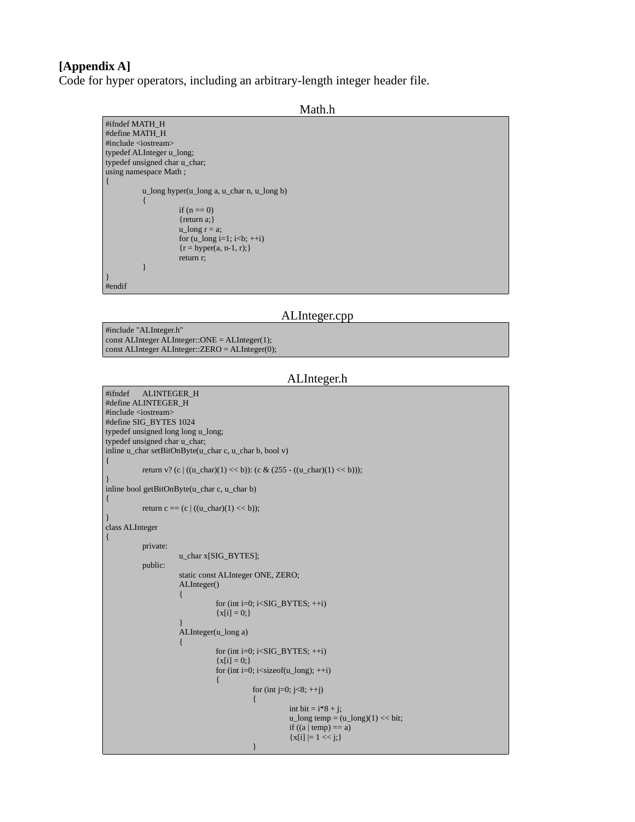# **[Appendix A]**

Code for hyper operators, including an arbitrary-length integer header file.

```
Math.h
```

```
#ifndef MATH_H 
#define MATH_H 
#include <iostream> 
typedef ALInteger u_long; 
typedef unsigned char u_char; 
using namespace Math ;
{ 
           u_long hyper(u_long a, u_char n, u_long b) 
            { 
                       if (n == 0){return a;}
                       u long r = a;
                       for (u<sup>\anglelong i=1; i \leqb; ++i)</sup>
                       {r = hyper(a, n-1, r)}return r; 
            } 
} 
#endif
```
### ALInteger.cpp

#include "ALInteger.h" const ALInteger ALInteger::ONE = ALInteger(1); const ALInteger ALInteger::ZERO = ALInteger(0);

#### ALInteger.h

#ifndef ALINTEGER\_H #define ALINTEGER\_H #include <iostream> #define SIG\_BYTES 1024 typedef unsigned long long u\_long; typedef unsigned char u\_char; inline u\_char setBitOnByte(u\_char c, u\_char b, bool v) { return v? (c | ((u\_char)(1) << b)): (c & (255 - ((u\_char)(1) << b))); } inline bool getBitOnByte(u\_char c, u\_char b) { return c == (c | ((u\_char)(1) << b)); } class ALInteger  $\left\{ \right.$ private: u\_char x[SIG\_BYTES]; public: static const ALInteger ONE, ZERO; ALInteger() { for (int i=0;  $i$  < SIG\_BYTES;  $+i$ )  ${x[i] = 0;}$ } ALInteger(u\_long a) { for (int i=0;  $i$  < SIG\_BYTES;  $+i$ )  ${x[i] = 0;}$ for (int i=0;  $i$  < size of  $(u_l)$ ong);  $+i$ ) { for (int j=0; j<8;  $++j$ ) { int bit =  $i*8 + j$ ;  $u_{\text{long}}$  temp =  $(u_{\text{long}})(1)$  << bit; if  $((a \mid temp) == a)$  ${x[i] |= 1 \leq j}$ }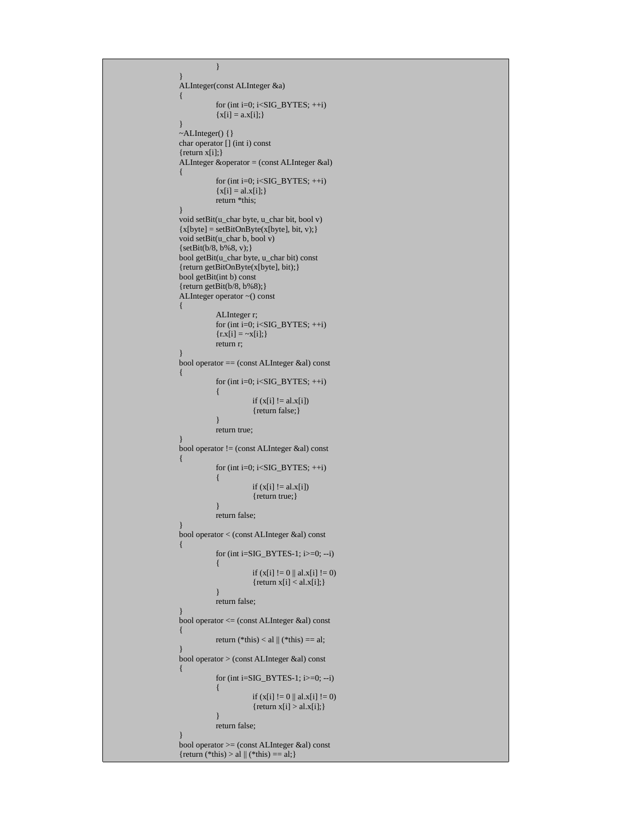```
} 
} 
ALInteger(const ALInteger &a) 
{ 
            for (int i=0; i < SIG BYTES; +i)
            {x[i] = a.x[i];}} 
~ALInteger() {} 
char operator [] (int i) const 
{return x[i]; }ALInteger &operator = (const ALInteger &al) 
{ 
            for (int i=0; i<SIG_BYTES; \pm\text{+i}){x[i] = al.x[i];}return *this; 
} 
void setBit(u_char byte, u_char bit, bool v) 
{x[byte]} = setBitOnByte(x[byte], bit, v);}void setBit(u_char b, bool v) 
{setBit(b/8, b%8, v);} 
bool getBit(u_char byte, u_char bit) const 
{return getBitOnByte(x[byte], bit);} 
bool getBit(int b) const 
{return getBit(b/8, b%8);} 
ALInteger operator ~() const 
{ 
            ALInteger r; 
            for (int i=0; i<SIG_BYTES; ++i) 
            {x[x[i] = \neg x[i];}return r; 
} 
bool operator == (const ALInteger &al) const 
{ 
            for (int i=0; i<SIG_BYTES; ++i) 
            { 
                        if (x[i] != a. x[i]){return false;} 
            } 
            return true; 
} 
bool operator != (const ALInteger &al) const 
{ 
            for (int i=0; i<SIG_BYTES; ++i)
            { 
                        if (x[i] != al.x[i]){return true;} 
            } 
            return false; 
} 
bool operator < (const ALInteger &al) const 
{ 
            for (int i=SIG_BYTES-1; i>=0; --i) 
            { 
                        if (x[i] := 0 \parallel a x[i] := 0){rreturn x[i] < al.x[i]; }} 
            return false; 
} 
bool operator <= (const ALInteger &al) const 
{ 
            return (*this) < al \parallel (*this) == al;
} 
bool operator > (const ALInteger &al) const 
{ 
            for (int i=SIG_BYTES-1; i>=0; --i) 
            { 
                        if (x[i] := 0 \parallel aLx[i] := 0){return x[i] > a.l.x[i];}
            } 
            return false; 
} 
bool operator >= (const ALInteger &al) const 
{return (*this) > a1 || (*this) == a1;}
```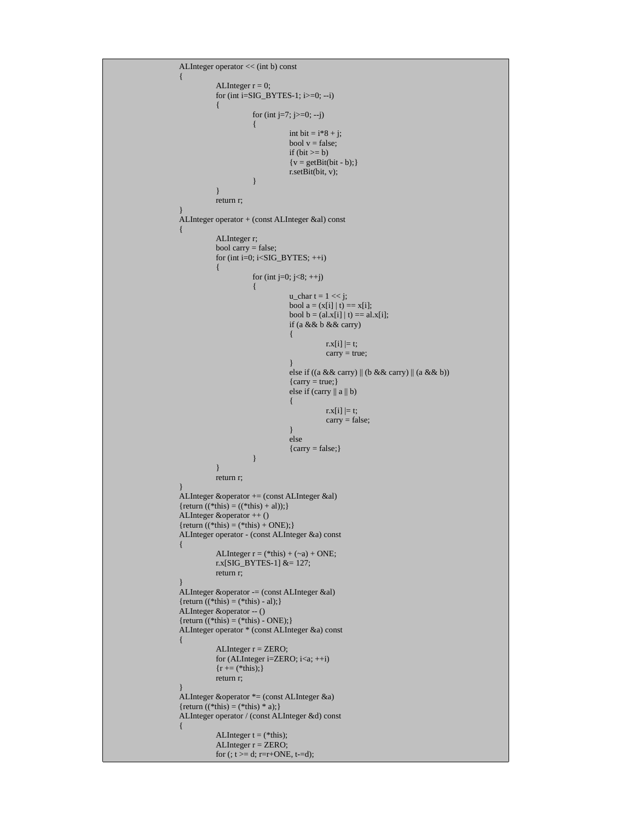```
ALInteger operator << (int b) const 
{ 
            ALInteger r = 0;
            for (int i=SIG_BYTES-1; i>=0; --i) 
            { 
                       for (int j=7; j>=0; --j)
                        { 
                                   int bit = i*8 + j;
                                   bool v = false;
                                   if (bit >= b){v = getBit(bt - b)};
                                   r.setBit(bit, v); 
                        } 
            } 
           return r; 
} 
ALInteger operator + (const ALInteger &al) const 
{ 
            ALInteger r; 
            bool carry = false;
            for (int i=0; i<SIG_BYTES; ++i)
            { 
                       for (int j=0; j<8; ++j)
                       { 
                                   u_{\text{c}}char t = 1 << j;
                                   bool a = (x[i] | t) == x[i];bool b = (al.x[i] | t = = al.x[i];
                                   if (a && b && carry) 
                                   { 
                                              r.x[i] \models t;carry = true;} 
                                   else if ((a && carry) || (b && carry) || (a && b)) 
                                   {carry = true; }else if (carry ||a||b)
                                   { 
                                              r.x[i] \models t;carry = false;} 
                                   else 
                                   {carry = false; }} 
            } 
           return r; 
} 
ALInteger &operator += (const ALInteger &al) 
{return ((*this) = ((*this) + al));}
ALInteger &operator ++ () 
{return ((*this) = (*this) + ONE);}
ALInteger operator - (const ALInteger &a) const 
{ 
            ALInteger r = (*this) + (~a) + ONE;r.x[SIG_BYTES-1]&= 127;
            return r; 
} 
ALInteger &operator -= (const ALInteger &al) 
{return ((*this) = (*this) - al);}
ALInteger &operator -- () 
{return ((*this) = (*this) - ONE);}
ALInteger operator * (const ALInteger &a) const 
{ 
            ALInteger r = ZERO; 
            for (ALInteger i=ZERO; i<a; ++i) 
            {r = (*this);}return r; 
} 
ALInteger &operator *= (const ALInteger &a) 
{return ((*this) = (*this) * a);}
ALInteger operator / (const ALInteger &d) const 
{ 
            ALInteger t = (*this);ALInteger r = ZERO; 
           for (; t > = d; r = r + ONE, t = d);
```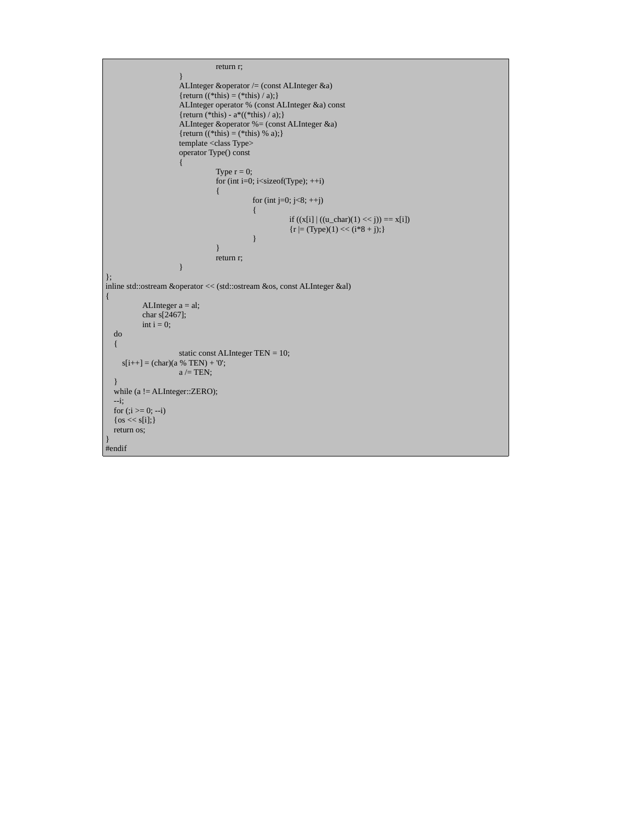```
return r; 
                       } 
                       ALInteger &operator /= (const ALInteger &a) 
                       {return ((*this) = (*this) / a);}
                       ALInteger operator % (const ALInteger &a) const 
                       {return (*this) - a^*((*)this) / a);}
                       ALInteger &operator %= (const ALInteger &a) 
                       {return ((*this) = (*this) % a); }
                       template <class Type>
                       operator Type() const 
                       { 
                                  Type r = 0;
                                   for (int i=0; i<sizeof(Type); ++i)
                                   { 
                                              for (int j=0; j<8; ++j)
                                              { 
                                                         if ((x[i] | ((u_{char})(1) << j)) == x[i]){r = (Type)(1) \le (i * 8 + j);}} 
                                   } 
                                  return r; 
                       } 
}; 
inline std::ostream &operator << (std::ostream &os, const ALInteger &al) 
{ 
           ALInteger a = al; 
           char s[2467]; 
           int i = 0;
   do 
    { 
                       static const ALInteger TEN = 10; 
     s[i++] = (char)(a % TEN) + '0';a /= TEN;
 } 
  while (a != ALInteger::ZERO);
   --i; 
  for (i \ge 0; -i)\{ \cos \leq s[i]; \} return os; 
} 
#endif
```